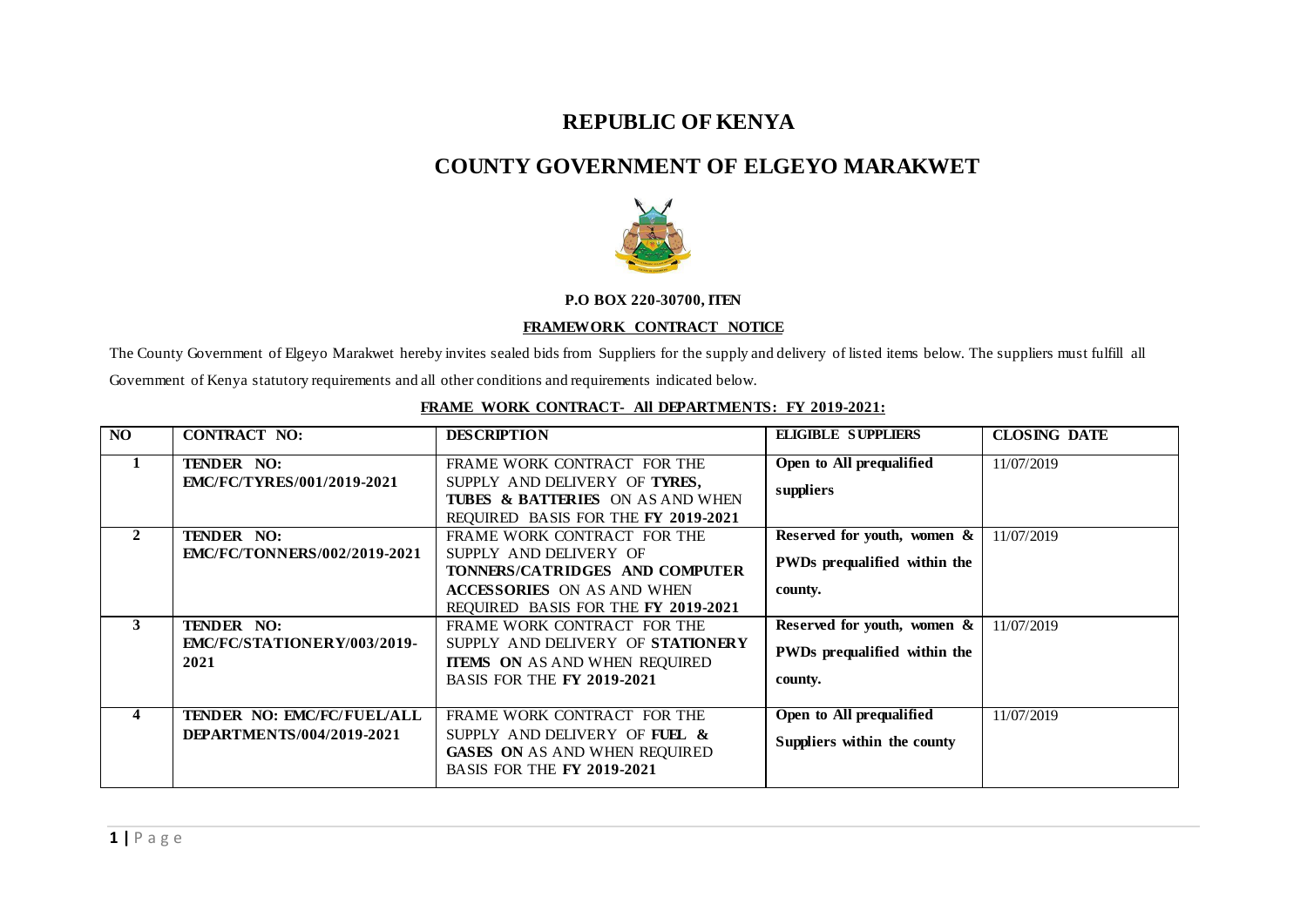## **REPUBLIC OF KENYA**

# **COUNTY GOVERNMENT OF ELGEYO MARAKWET**



#### **P.O BOX 220-30700, ITEN**

#### **FRAMEWORK CONTRACT NOTICE**

The County Government of Elgeyo Marakwet hereby invites sealed bids from Suppliers for the supply and delivery of listed items below. The suppliers must fulfill all

Government of Kenya statutory requirements and all other conditions and requirements indicated below.

| NO           | <b>CONTRACT NO:</b>                 | <b>DESCRIPTION</b>                                                                 | <b>ELIGIBLE SUPPLIERS</b>      | <b>CLOSING DATE</b> |
|--------------|-------------------------------------|------------------------------------------------------------------------------------|--------------------------------|---------------------|
| 1            | <b>TENDER NO:</b>                   | FRAME WORK CONTRACT FOR THE                                                        | Open to All prequalified       | 11/07/2019          |
|              | <b>EMC/FC/TYRES/001/2019-2021</b>   | SUPPLY AND DELIVERY OF TYRES,                                                      | suppliers                      |                     |
|              |                                     | <b>TUBES &amp; BATTERIES ON AS AND WHEN</b><br>REQUIRED BASIS FOR THE FY 2019-2021 |                                |                     |
| $\mathbf{2}$ | <b>TENDER NO:</b>                   | FRAME WORK CONTRACT FOR THE                                                        | Reserved for youth, women $\&$ | 11/07/2019          |
|              | <b>EMC/FC/TONNERS/002/2019-2021</b> | SUPPLY AND DELIVERY OF                                                             | PWDs prequalified within the   |                     |
|              |                                     | TONNERS/CATRIDGES AND COMPUTER                                                     |                                |                     |
|              |                                     | <b>ACCESSORIES ON AS AND WHEN</b><br>REQUIRED BASIS FOR THE FY 2019-2021           | county.                        |                     |
| 3            | <b>TENDER NO:</b>                   | FRAME WORK CONTRACT FOR THE                                                        | Reserved for youth, women $\&$ | 11/07/2019          |
|              | <b>EMC/FC/STATIONERY/003/2019-</b>  | SUPPLY AND DELIVERY OF STATIONERY                                                  | PWDs prequalified within the   |                     |
|              | 2021                                | <b>ITEMS ON AS AND WHEN REQUIRED</b><br><b>BASIS FOR THE FY 2019-2021</b>          | county.                        |                     |
|              |                                     |                                                                                    |                                |                     |
| 4            | TENDER NO: EMC/FC/FUEL/ALL          | FRAME WORK CONTRACT FOR THE                                                        | Open to All prequalified       | 11/07/2019          |
|              | <b>DEPARTMENTS/004/2019-2021</b>    | SUPPLY AND DELIVERY OF FUEL &                                                      | Suppliers within the county    |                     |
|              |                                     | <b>GASES ON AS AND WHEN REQUIRED</b><br><b>BASIS FOR THE FY 2019-2021</b>          |                                |                     |
|              |                                     |                                                                                    |                                |                     |

#### **FRAME WORK CONTRACT- All DEPARTMENTS: FY 2019-2021:**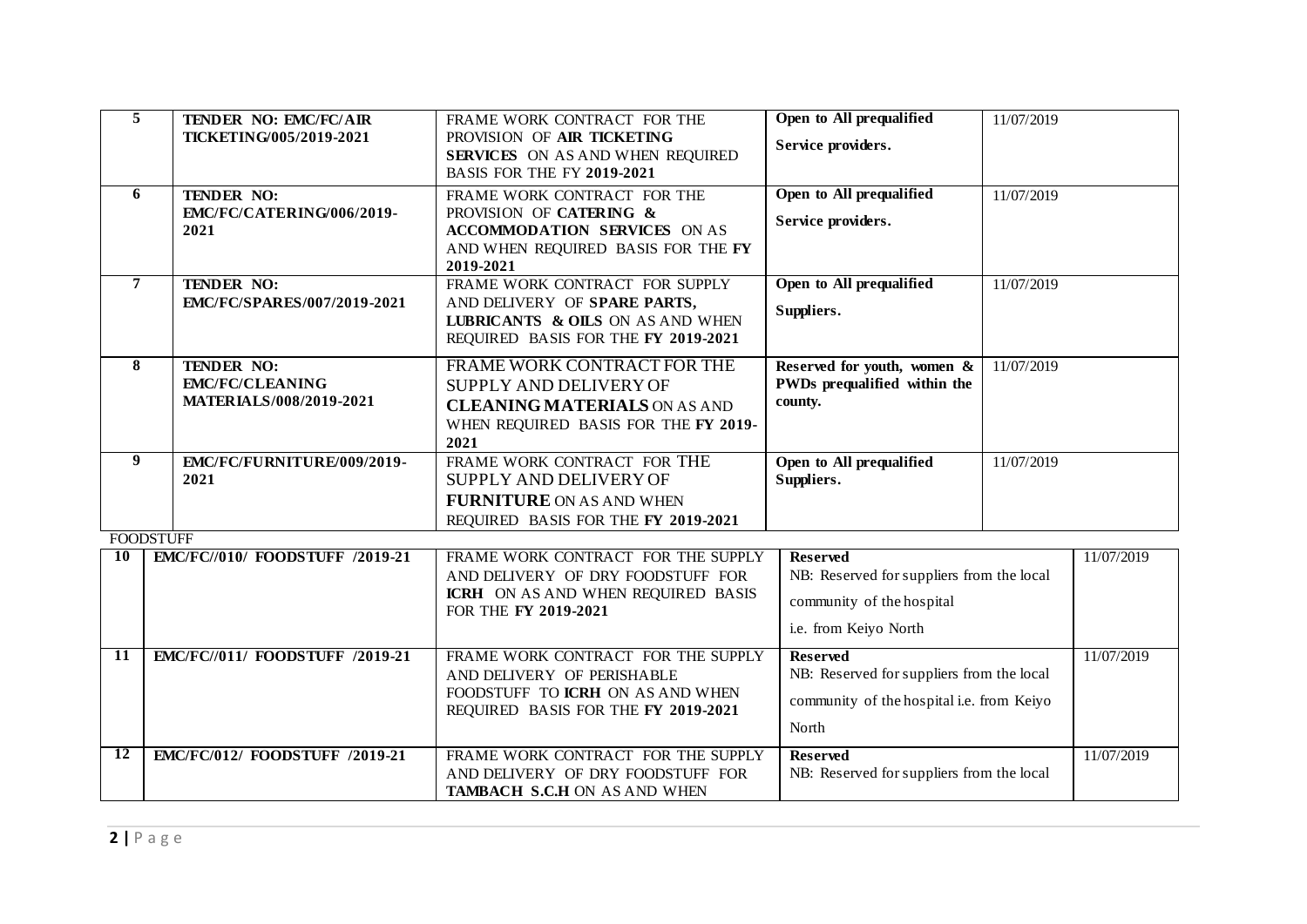| 5                                     | TENDER NO: EMC/FC/AIR<br><b>TICKETING/005/2019-2021</b> | FRAME WORK CONTRACT FOR THE<br>PROVISION OF AIR TICKETING                    | Open to All prequalified                  | 11/07/2019 |            |
|---------------------------------------|---------------------------------------------------------|------------------------------------------------------------------------------|-------------------------------------------|------------|------------|
|                                       |                                                         | <b>SERVICES</b> ON AS AND WHEN REQUIRED<br><b>BASIS FOR THE FY 2019-2021</b> | Service providers.                        |            |            |
|                                       |                                                         |                                                                              |                                           |            |            |
| 6                                     | TENDER NO:                                              | FRAME WORK CONTRACT FOR THE                                                  | Open to All prequalified                  | 11/07/2019 |            |
|                                       | EMC/FC/CATERING/006/2019-<br>2021                       | PROVISION OF CATERING &<br><b>ACCOMMODATION SERVICES ON AS</b>               | Service providers.                        |            |            |
|                                       |                                                         | AND WHEN REQUIRED BASIS FOR THE FY                                           |                                           |            |            |
|                                       |                                                         | 2019-2021                                                                    |                                           |            |            |
| $\overline{7}$                        | <b>TENDER NO:</b>                                       | FRAME WORK CONTRACT FOR SUPPLY                                               | Open to All prequalified                  | 11/07/2019 |            |
|                                       | EMC/FC/SPARES/007/2019-2021                             | AND DELIVERY OF SPARE PARTS,                                                 |                                           |            |            |
|                                       |                                                         | <b>LUBRICANTS &amp; OILS ON AS AND WHEN</b>                                  | Suppliers.                                |            |            |
|                                       |                                                         | REQUIRED BASIS FOR THE FY 2019-2021                                          |                                           |            |            |
| 8                                     | <b>TENDER NO:</b>                                       | FRAME WORK CONTRACT FOR THE                                                  | Reserved for youth, women &               | 11/07/2019 |            |
|                                       | <b>EMC/FC/CLEANING</b>                                  | SUPPLY AND DELIVERY OF                                                       | PWDs prequalified within the              |            |            |
|                                       | MATERIALS/008/2019-2021                                 | <b>CLEANING MATERIALS ON AS AND</b>                                          | county.                                   |            |            |
|                                       |                                                         | WHEN REQUIRED BASIS FOR THE FY 2019-                                         |                                           |            |            |
|                                       |                                                         | 2021                                                                         |                                           |            |            |
| 9                                     | EMC/FC/FURNITURE/009/2019-                              | FRAME WORK CONTRACT FOR THE                                                  | Open to All prequalified                  | 11/07/2019 |            |
|                                       | 2021                                                    | SUPPLY AND DELIVERY OF                                                       | Suppliers.                                |            |            |
|                                       |                                                         | <b>FURNITURE ON AS AND WHEN</b>                                              |                                           |            |            |
|                                       |                                                         | REQUIRED BASIS FOR THE FY 2019-2021                                          |                                           |            |            |
|                                       | <b>FOODSTUFF</b>                                        |                                                                              |                                           |            |            |
| 10                                    | <b>EMC/FC//010/ FOODSTUFF /2019-21</b>                  | FRAME WORK CONTRACT FOR THE SUPPLY                                           | <b>Reserved</b>                           |            | 11/07/2019 |
|                                       |                                                         | AND DELIVERY OF DRY FOODSTUFF FOR<br>ICRH ON AS AND WHEN REQUIRED BASIS      | NB: Reserved for suppliers from the local |            |            |
|                                       |                                                         | FOR THE FY 2019-2021                                                         | community of the hospital                 |            |            |
|                                       |                                                         |                                                                              | i.e. from Keiyo North                     |            |            |
| 11<br>EMC/FC//011/ FOODSTUFF /2019-21 |                                                         | FRAME WORK CONTRACT FOR THE SUPPLY                                           | <b>Reserved</b>                           |            | 11/07/2019 |
|                                       |                                                         | AND DELIVERY OF PERISHABLE                                                   | NB: Reserved for suppliers from the local |            |            |
|                                       |                                                         | FOODSTUFF TO ICRH ON AS AND WHEN                                             | community of the hospital i.e. from Keiyo |            |            |
|                                       |                                                         | REQUIRED BASIS FOR THE FY 2019-2021                                          | North                                     |            |            |
|                                       |                                                         |                                                                              |                                           |            |            |
| 12                                    | <b>EMC/FC/012/ FOODSTUFF /2019-21</b>                   | FRAME WORK CONTRACT FOR THE SUPPLY                                           | <b>Reserved</b>                           |            | 11/07/2019 |
|                                       |                                                         | AND DELIVERY OF DRY FOODSTUFF FOR                                            | NB: Reserved for suppliers from the local |            |            |
|                                       |                                                         | <b>TAMBACH S.C.H ON AS AND WHEN</b>                                          |                                           |            |            |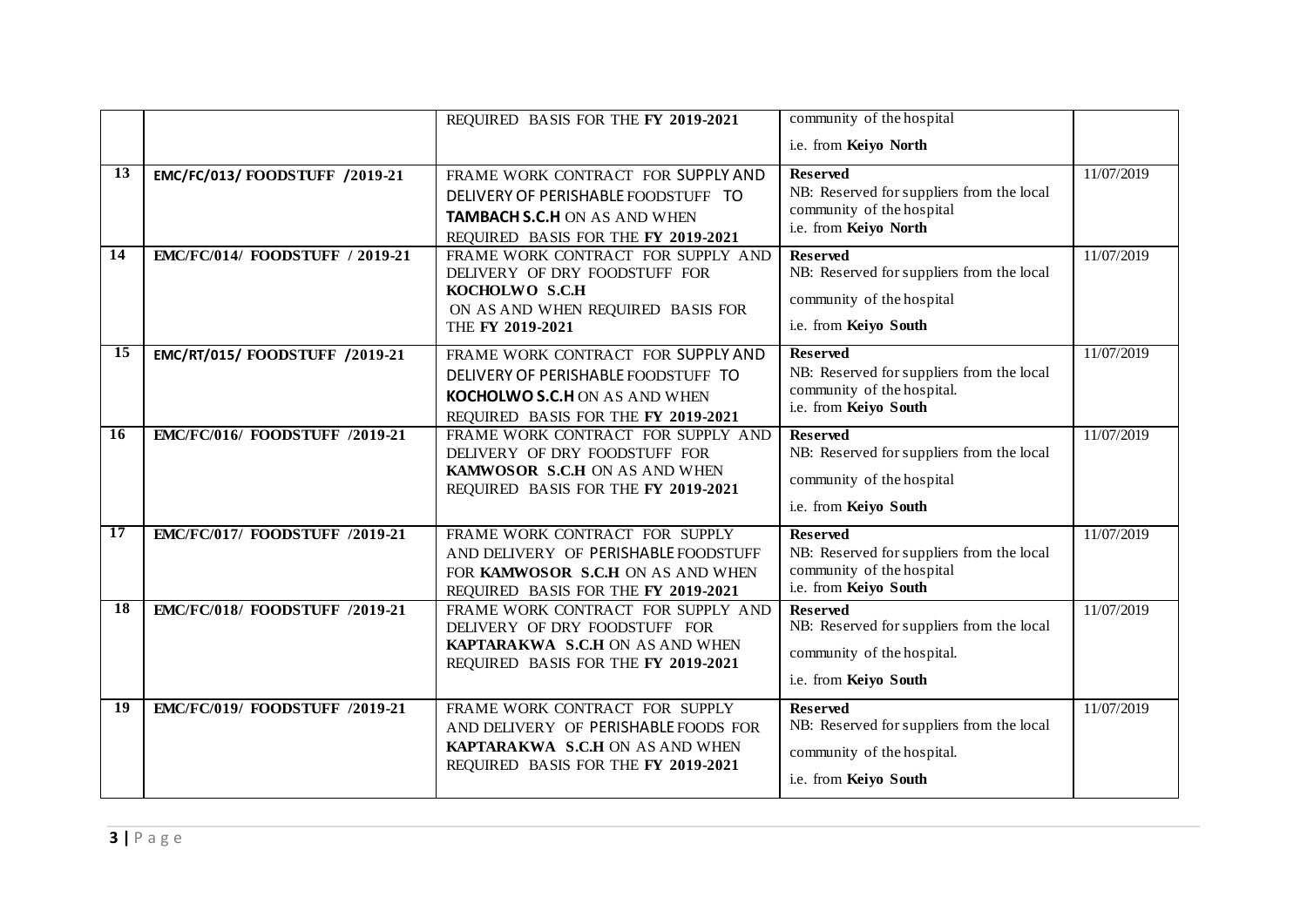|                 |                                        | REQUIRED BASIS FOR THE FY 2019-2021                                                                                                                     | community of the hospital                                                                                           |            |
|-----------------|----------------------------------------|---------------------------------------------------------------------------------------------------------------------------------------------------------|---------------------------------------------------------------------------------------------------------------------|------------|
|                 |                                        |                                                                                                                                                         | i.e. from Keiyo North                                                                                               |            |
| 13              | EMC/FC/013/ FOODSTUFF /2019-21         | FRAME WORK CONTRACT FOR SUPPLY AND<br>DELIVERY OF PERISHABLE FOODSTUFF TO<br><b>TAMBACH S.C.H ON AS AND WHEN</b><br>REQUIRED BASIS FOR THE FY 2019-2021 | <b>Reserved</b><br>NB: Reserved for suppliers from the local<br>community of the hospital<br>i.e. from Keiyo North  | 11/07/2019 |
| 14              | <b>EMC/FC/014/ FOODSTUFF / 2019-21</b> | FRAME WORK CONTRACT FOR SUPPLY AND<br>DELIVERY OF DRY FOODSTUFF FOR<br>KOCHOLWO S.C.H<br>ON AS AND WHEN REQUIRED BASIS FOR<br>THE FY 2019-2021          | <b>Reserved</b><br>NB: Reserved for suppliers from the local<br>community of the hospital<br>i.e. from Keiyo South  | 11/07/2019 |
| 15              | EMC/RT/015/ FOODSTUFF /2019-21         | FRAME WORK CONTRACT FOR SUPPLY AND<br>DELIVERY OF PERISHABLE FOODSTUFF TO<br>KOCHOLWO S.C.H ON AS AND WHEN<br>REQUIRED BASIS FOR THE FY 2019-2021       | <b>Reserved</b><br>NB: Reserved for suppliers from the local<br>community of the hospital.<br>i.e. from Keiyo South | 11/07/2019 |
| 16              | <b>EMC/FC/016/ FOODSTUFF /2019-21</b>  | FRAME WORK CONTRACT FOR SUPPLY AND<br>DELIVERY OF DRY FOODSTUFF FOR<br>KAMWOSOR S.C.H ON AS AND WHEN<br>REQUIRED BASIS FOR THE FY 2019-2021             | <b>Reserved</b><br>NB: Reserved for suppliers from the local<br>community of the hospital<br>i.e. from Keiyo South  | 11/07/2019 |
| $\overline{17}$ | <b>EMC/FC/017/ FOODSTUFF /2019-21</b>  | FRAME WORK CONTRACT FOR SUPPLY<br>AND DELIVERY OF PERISHABLE FOODSTUFF<br>FOR KAMWOSOR S.C.H ON AS AND WHEN<br>REQUIRED BASIS FOR THE FY 2019-2021      | <b>Reserved</b><br>NB: Reserved for suppliers from the local<br>community of the hospital<br>i.e. from Keiyo South  | 11/07/2019 |
| 18              | EMC/FC/018/ FOODSTUFF /2019-21         | FRAME WORK CONTRACT FOR SUPPLY AND<br>DELIVERY OF DRY FOODSTUFF FOR<br>KAPTARAKWA S.C.H ON AS AND WHEN<br>REQUIRED BASIS FOR THE FY 2019-2021           | <b>Reserved</b><br>NB: Reserved for suppliers from the local<br>community of the hospital.<br>i.e. from Keiyo South | 11/07/2019 |
| 19              | EMC/FC/019/ FOODSTUFF /2019-21         | FRAME WORK CONTRACT FOR SUPPLY<br>AND DELIVERY OF PERISHABLE FOODS FOR<br>KAPTARAKWA S.C.H ON AS AND WHEN<br>REQUIRED BASIS FOR THE FY 2019-2021        | <b>Reserved</b><br>NB: Reserved for suppliers from the local<br>community of the hospital.<br>i.e. from Keiyo South | 11/07/2019 |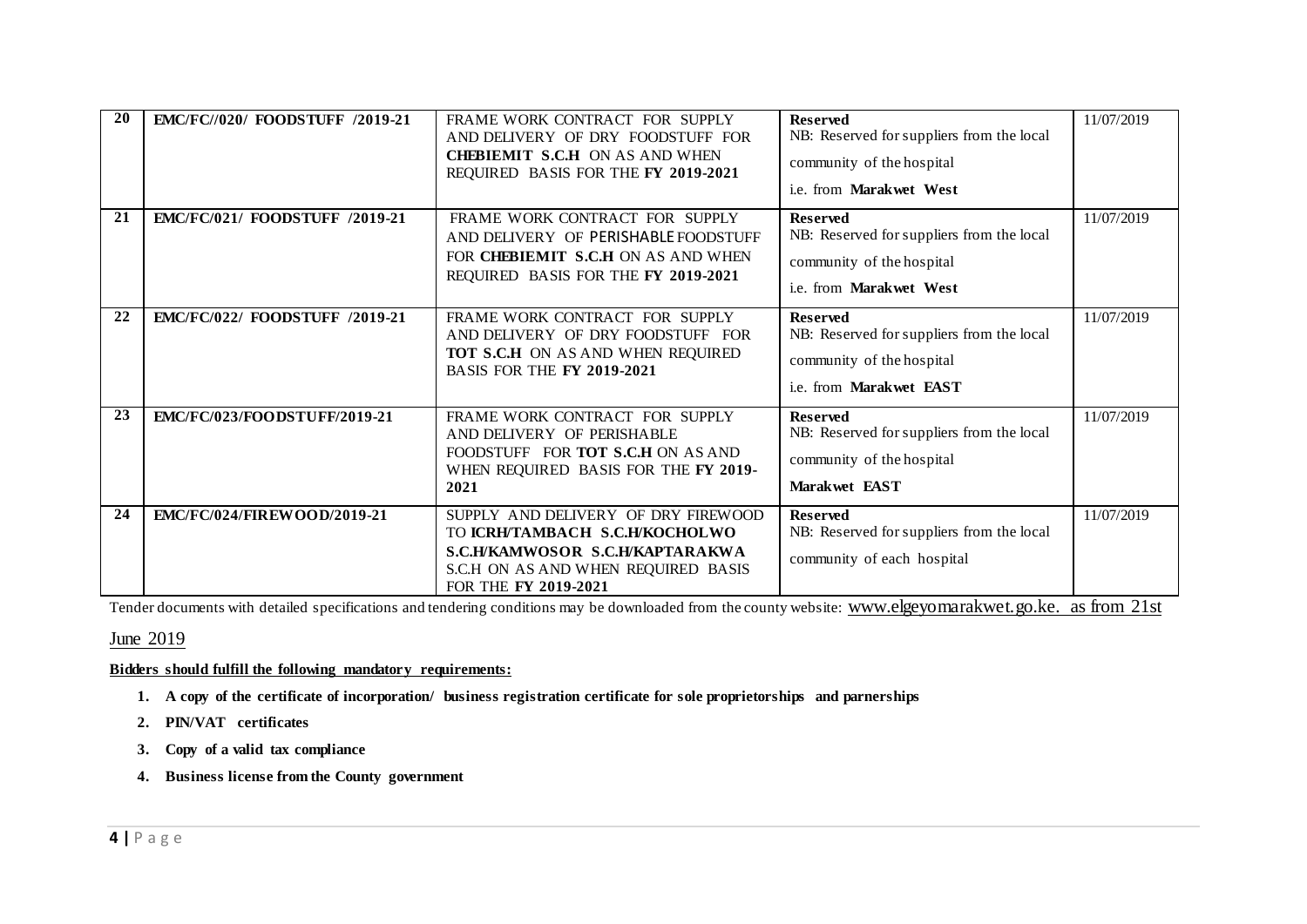| <b>20</b> | <b>EMC/FC//020/ FOODSTUFF /2019-21</b> | FRAME WORK CONTRACT FOR SUPPLY<br>AND DELIVERY OF DRY FOODSTUFF FOR<br><b>CHEBIEMIT S.C.H ON AS AND WHEN</b><br>REQUIRED BASIS FOR THE FY 2019-2021                     | <b>Reserved</b><br>NB: Reserved for suppliers from the local<br>community of the hospital<br>i.e. from Marakwet West | 11/07/2019 |
|-----------|----------------------------------------|-------------------------------------------------------------------------------------------------------------------------------------------------------------------------|----------------------------------------------------------------------------------------------------------------------|------------|
| 21        | EMC/FC/021/ FOODSTUFF /2019-21         | FRAME WORK CONTRACT FOR SUPPLY<br>AND DELIVERY OF PERISHABLE FOODSTUFF<br>FOR CHEBIEMIT S.C.H ON AS AND WHEN<br>REQUIRED BASIS FOR THE FY 2019-2021                     | <b>Reserved</b><br>NB: Reserved for suppliers from the local<br>community of the hospital<br>i.e. from Marakwet West | 11/07/2019 |
| 22        | EMC/FC/022/ FOODSTUFF /2019-21         | FRAME WORK CONTRACT FOR SUPPLY<br>AND DELIVERY OF DRY FOODSTUFF FOR<br>TOT S.C.H ON AS AND WHEN REQUIRED<br><b>BASIS FOR THE FY 2019-2021</b>                           | <b>Reserved</b><br>NB: Reserved for suppliers from the local<br>community of the hospital<br>i.e. from Marakwet EAST | 11/07/2019 |
| 23        | EMC/FC/023/FOODSTUFF/2019-21           | FRAME WORK CONTRACT FOR SUPPLY<br>AND DELIVERY OF PERISHABLE<br>FOODSTUFF FOR TOT S.C.H ON AS AND<br>WHEN REQUIRED BASIS FOR THE FY 2019-<br>2021                       | <b>Reserved</b><br>NB: Reserved for suppliers from the local<br>community of the hospital<br>Marakwet EAST           | 11/07/2019 |
| 24        | <b>EMC/FC/024/FIREWOOD/2019-21</b>     | SUPPLY AND DELIVERY OF DRY FIREWOOD<br>TO ICRH/TAMBACH S.C.H/KOCHOLWO<br>S.C.H/KAMWOSOR S.C.H/KAPTARAKWA<br>S.C.H ON AS AND WHEN REQUIRED BASIS<br>FOR THE FY 2019-2021 | <b>Reserved</b><br>NB: Reserved for suppliers from the local<br>community of each hospital                           | 11/07/2019 |

Tender documents with detailed specifications and tendering conditions may be downloaded from the county website: [www.elgeyomarakwet.go.ke.](http://www.elgeyomarakwet.go.ke/) as from 21st

#### June 2019

**Bidders should fulfill the following mandatory requirements:**

- **1. A copy of the certificate of incorporation/ business registration certificate for sole proprietorships and parnerships**
- **2. PIN/VAT certificates**
- **3. Copy of a valid tax compliance**
- **4. Business license from the County government**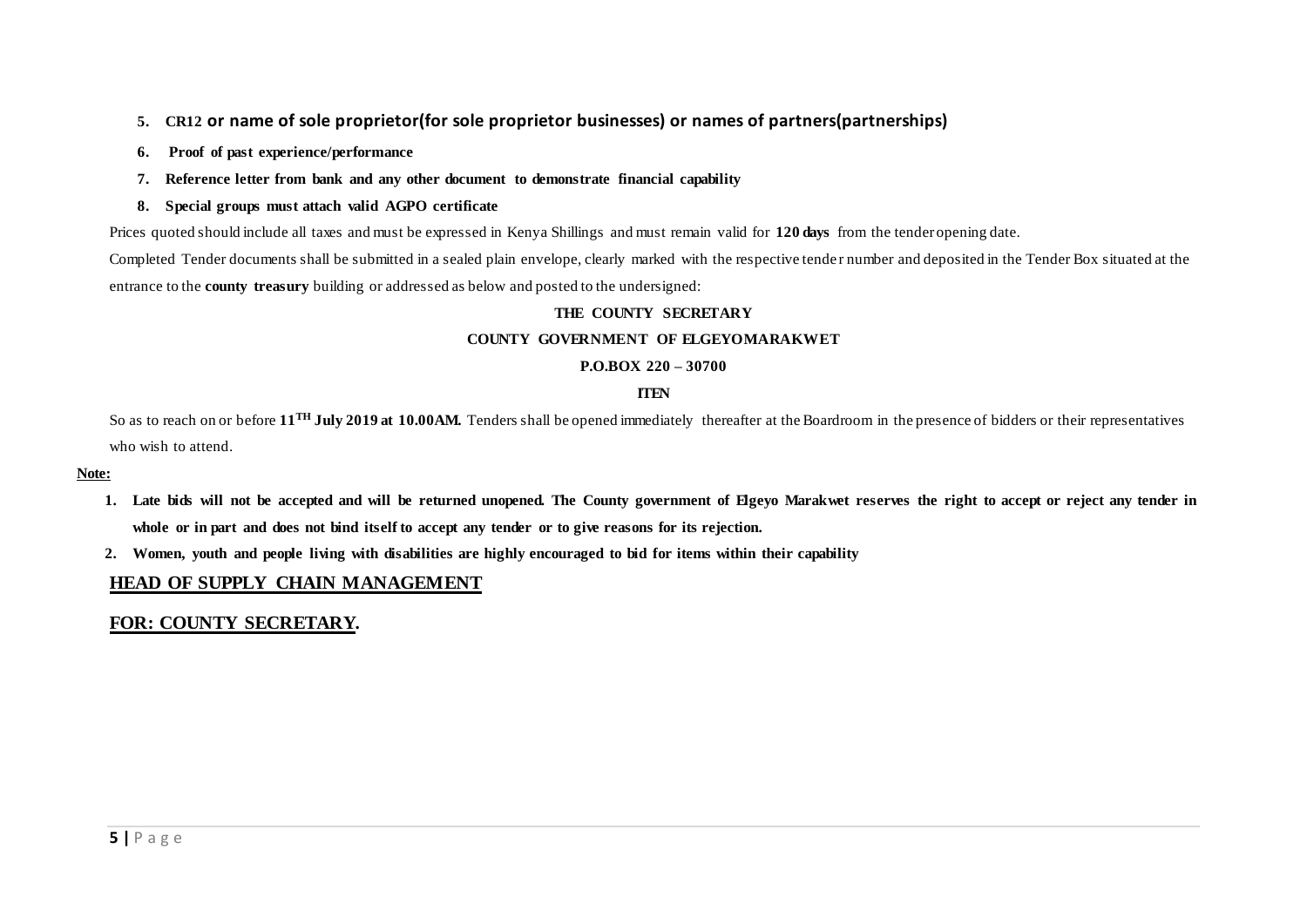### **5. CR12 or name of sole proprietor(for sole proprietor businesses) or names of partners(partnerships)**

- **6. Proof of past experience/performance**
- **7. Reference letter from bank and any other document to demonstrate financial capability**
- **8. Special groups must attach valid AGPO certificate**

Prices quoted should include all taxes and must be expressed in Kenya Shillings and must remain valid for **120 days** from the tender opening date.

Completed Tender documents shall be submitted in a sealed plain envelope, clearly marked with the respective tende r number and deposited in the Tender Box situated at the entrance to the **county treasury** building or addressed as below and posted to the undersigned:

#### **THE COUNTY SECRETARY**

#### **COUNTY GOVERNMENT OF ELGEYOMARAKWET**

#### **P.O.BOX 220 – 30700**

#### **ITEN**

So as to reach on or before **11TH July 2019 at 10.00AM.** Tenders shall be opened immediately thereafter at the Boardroom in the presence of bidders or their representatives who wish to attend.

#### **Note:**

- **1. Late bids will not be accepted and will be returned unopened. The County government of Elgeyo Marakwet reserves the right to accept or reject any tender in whole or in part and does not bind itself to accept any tender or to give reasons for its rejection.**
- **2. Women, youth and people living with disabilities are highly encouraged to bid for items within their capability**

### **HEAD OF SUPPLY CHAIN MANAGEMENT**

### **FOR: COUNTY SECRETARY.**